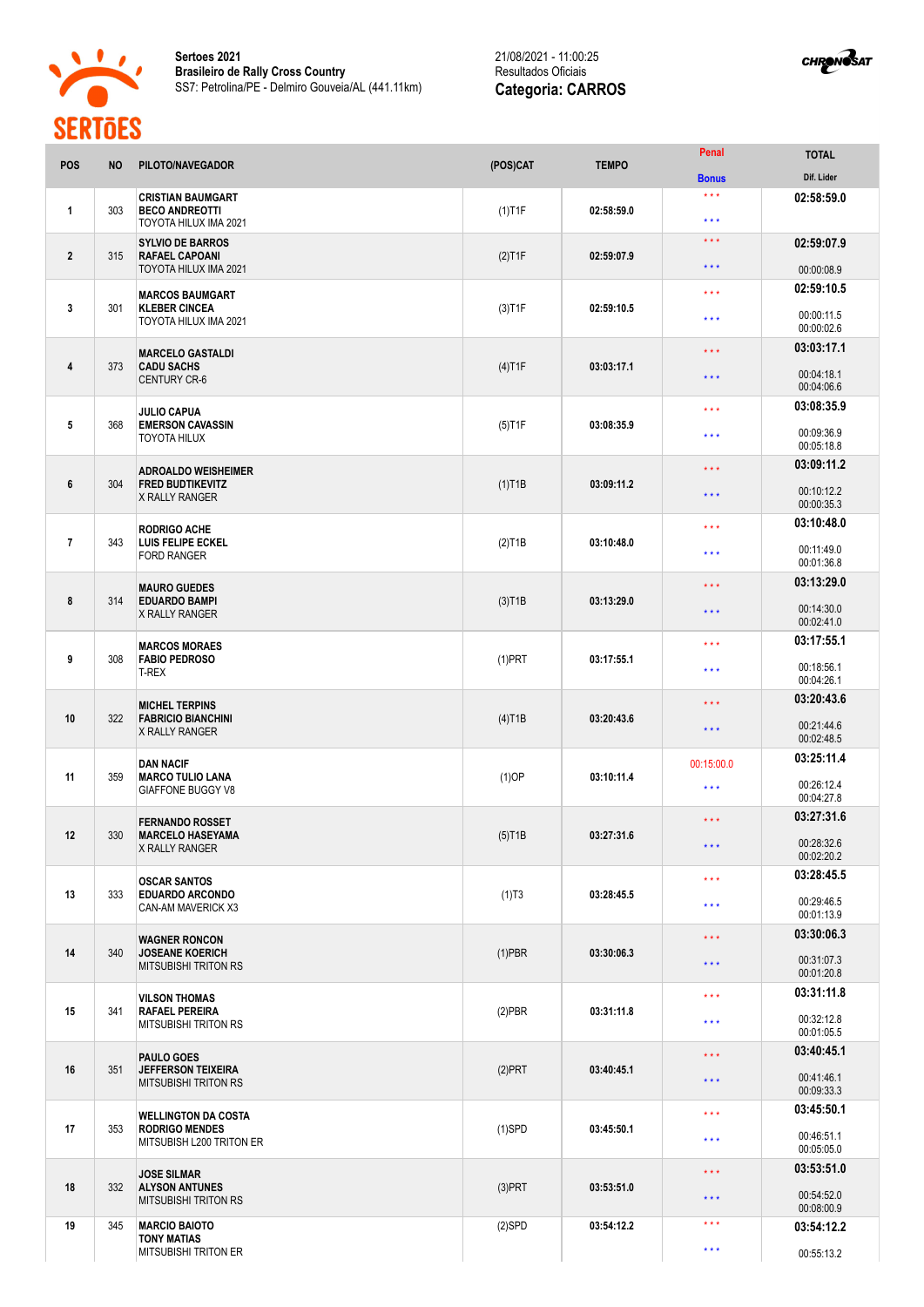



| <b>POS</b>     | <b>NO</b> | PILOTO/NAVEGADOR                                                                | (POS)CAT               | <b>TEMPO</b> | Penal                   | <b>TOTAL</b>             |
|----------------|-----------|---------------------------------------------------------------------------------|------------------------|--------------|-------------------------|--------------------------|
|                |           |                                                                                 |                        |              | <b>Bonus</b>            | Dif. Lider               |
| 1              | 303       | <b>CRISTIAN BAUMGART</b><br><b>BECO ANDREOTTI</b><br>TOYOTA HILUX IMA 2021      | $(1)$ T1F              | 02:58:59.0   | $* * *$<br>$***$        | 02:58:59.0               |
| $\overline{2}$ | 315       | <b>SYLVIO DE BARROS</b><br><b>RAFAEL CAPOANI</b><br>TOYOTA HILUX IMA 2021       | $(2)$ T1F              | 02:59:07.9   | $* * *$                 | 02:59:07.9               |
|                |           |                                                                                 |                        |              | $\star$ $\star$ $\star$ | 00:00:08.9               |
| 3              | 301       | <b>MARCOS BAUMGART</b><br><b>KLEBER CINCEA</b><br>TOYOTA HILUX IMA 2021         | $(3)$ T1F              | 02:59:10.5   | $* * *$                 | 02:59:10.5               |
|                |           |                                                                                 |                        |              | $***$                   | 00:00:11.5<br>00:00:02.6 |
| 4              | 373       | <b>MARCELO GASTALDI</b><br><b>CADU SACHS</b><br><b>CENTURY CR-6</b>             | $(4)$ T1F              | 03:03:17.1   | * * *                   | 03:03:17.1               |
|                |           |                                                                                 |                        |              | $\star \star \star$     | 00:04:18.1<br>00:04:06.6 |
|                | 368       | <b>JULIO CAPUA</b><br><b>EMERSON CAVASSIN</b><br>TOYOTA HILUX                   | $(5)$ T1F              | 03:08:35.9   | $* * *$                 | 03:08:35.9               |
| 5              |           |                                                                                 |                        |              | $* * *$                 | 00:09:36.9<br>00:05:18.8 |
|                | 304       | <b>ADROALDO WEISHEIMER</b><br><b>FRED BUDTIKEVITZ</b><br><b>X RALLY RANGER</b>  | $(1)$ T1B              | 03:09:11.2   | $* * *$                 | 03:09:11.2               |
| 6              |           |                                                                                 |                        |              | $\star$ $\star$ $\star$ | 00:10:12.2<br>00:00:35.3 |
|                |           | <b>RODRIGO ACHE</b><br>LUIS FELIPE ECKEL<br><b>FORD RANGER</b>                  |                        | 03:10:48.0   | $* * *$                 | 03:10:48.0               |
| $\overline{7}$ | 343       |                                                                                 | $(2)$ T1B              |              | $***$                   | 00:11:49.0<br>00:01:36.8 |
|                |           | <b>MAURO GUEDES</b><br><b>EDUARDO BAMPI</b><br>X RALLY RANGER                   | $(3)$ T <sub>1</sub> B |              | * * *                   | 03:13:29.0               |
| 8              | 314       |                                                                                 |                        | 03:13:29.0   | $* * *$                 | 00:14:30.0<br>00:02:41.0 |
|                |           | <b>MARCOS MORAES</b><br><b>FABIO PEDROSO</b><br>T-REX                           |                        |              | $***$                   | 03:17:55.1               |
| 9              | 308       |                                                                                 | $(1)$ PRT              | 03:17:55.1   | $***$                   | 00:18:56.1<br>00:04:26.1 |
| 10             | 322       | <b>MICHEL TERPINS</b><br><b>FABRICIO BIANCHINI</b><br>X RALLY RANGER            | $(4)$ T1B              | 03:20:43.6   | $* * *$                 | 03:20:43.6               |
|                |           |                                                                                 |                        |              | $* * *$                 | 00:21:44.6<br>00:02:48.5 |
|                |           | <b>DAN NACIF</b><br><b>MARCO TULIO LANA</b><br><b>GIAFFONE BUGGY V8</b>         | $(1)$ OP               | 03:10:11.4   | 00:15:00.0              | 03:25:11.4               |
| 11             | 359       |                                                                                 |                        |              | $***$                   | 00:26:12.4<br>00:04:27.8 |
|                |           | <b>FERNANDO ROSSET</b>                                                          |                        | 03:27:31.6   | $\star$ $\star$ $\star$ | 03:27:31.6               |
| 12             | 330       | <b>MARCELO HASEYAMA</b><br><b>X RALLY RANGER</b>                                | $(5)$ T1B              |              | $\star\star\star$       | 00:28:32.6<br>00:02:20.2 |
|                | 333       | <b>OSCAR SANTOS</b><br><b>EDUARDO ARCONDO</b><br>CAN-AM MAVERICK X3             | (1)T3                  | 03:28:45.5   | $***$                   | 03:28:45.5               |
| 13             |           |                                                                                 |                        |              | $***$                   | 00:29:46.5<br>00:01:13.9 |
|                | 340       | <b>WAGNER RONCON</b><br><b>JOSEANE KOERICH</b><br><b>MITSUBISHI TRITON RS</b>   | $(1)$ PBR              | 03:30:06.3   | $\star$ $\star$ $\star$ | 03:30:06.3               |
| 14             |           |                                                                                 |                        |              | $\star$ $\star$ $\star$ | 00:31:07.3<br>00:01:20.8 |
|                | 341       | VILSON THOMAS<br><b>RAFAEL PEREIRA</b><br><b>MITSUBISHI TRITON RS</b>           | $(2)$ PBR              | 03:31:11.8   | $\star\star\star$       | 03:31:11.8               |
| 15             |           |                                                                                 |                        |              | $* * *$                 | 00:32:12.8<br>00:01:05.5 |
| 16             | 351       | <b>PAULO GOES</b><br><b>JEFFERSON TEIXEIRA</b><br><b>MITSUBISHI TRITON RS</b>   | $(2)$ PRT              | 03:40:45.1   | $\star$ $\star$ $\star$ | 03:40:45.1               |
|                |           |                                                                                 |                        |              | $\star\star\star$       | 00:41:46.1<br>00:09:33.3 |
| 17             | 353       | <b>WELLINGTON DA COSTA</b><br><b>RODRIGO MENDES</b><br>MITSUBISH L200 TRITON ER | $(1)$ SPD              | 03:45:50.1   | $\star\star\star$       | 03:45:50.1               |
|                |           |                                                                                 |                        |              | $* * *$                 | 00:46:51.1<br>00:05:05.0 |
|                | 332       | <b>JOSE SILMAR</b><br><b>ALYSON ANTUNES</b><br><b>MITSUBISHI TRITON RS</b>      | $(3)$ PRT              | 03:53:51.0   | * * *                   | 03:53:51.0               |
| 18             |           |                                                                                 |                        |              | $\star\star\star$       | 00:54:52.0<br>00:08:00.9 |
| 19             | 345       | <b>MARCIO BAIOTO</b><br><b>TONY MATIAS</b>                                      | $(2)$ SPD              | 03:54:12.2   | ***                     | 03:54:12.2               |
|                |           | <b>MITSUBISHI TRITON ER</b>                                                     |                        |              | $\star\star\star$       | 00:55:13.2               |